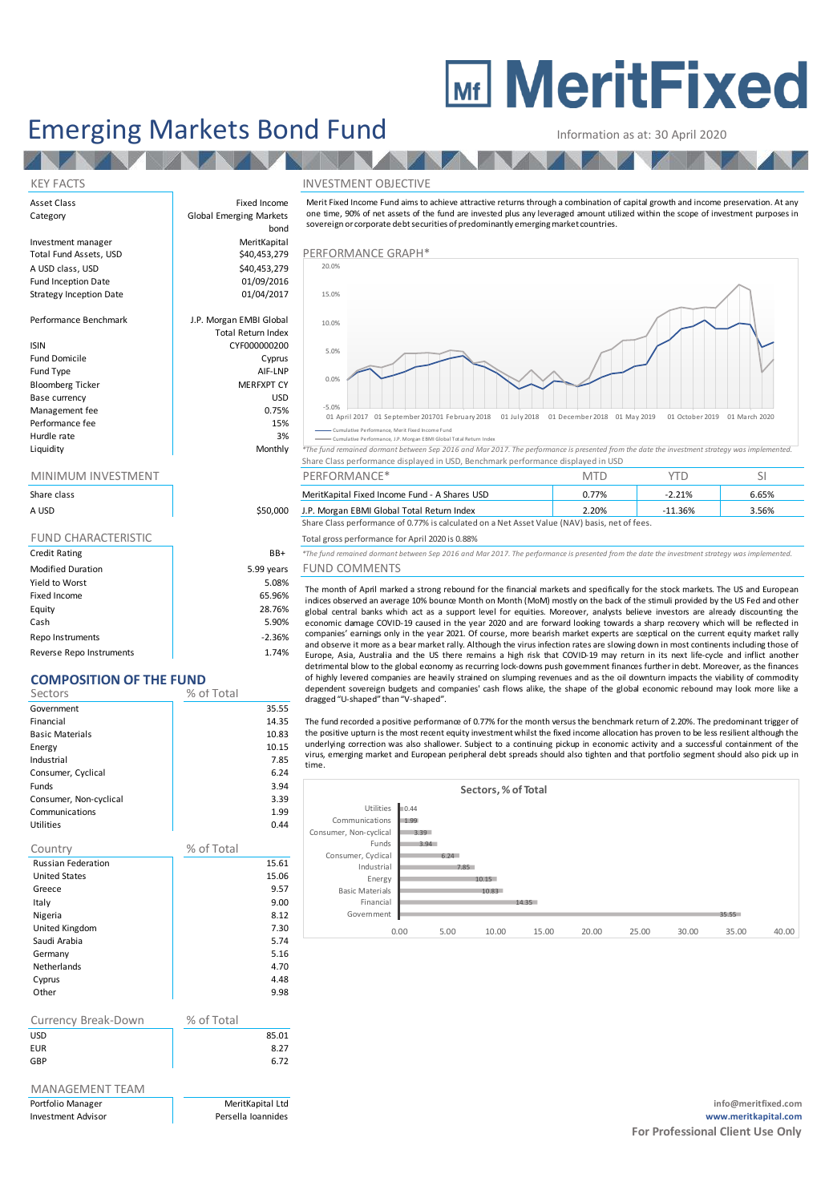# **MEDITY MeritFixed**

# Emerging Markets Bond Fund<br>
Information as at: 30 April 2020

bond

#### KEY FACTS INVESTMENT OBJECTIVE

Asset Class **Fixed Income** Category **Global Emerging Markets** Investment manager MeritKapital Total Fund Assets, USD **\$40,453,279 PERFORMANCE GRAPH**\* A USD class, USD \$40,453,279 Performance Graph Fund Inception Date **12 bis 12 contract 101/09/2016**<br>Strategy Inception Date 101/04/2017 Strategy Inception Date Performance Benchmark J.P. Morgan EMBI Global ISIN CYF000000200 Fund Domicile **Cyprus** Fund Type AIF-LNP Bloomberg Ticker Base currency and the state of the USD USD USD Management fee between the contraction of the contraction of the contraction of the contraction of the contraction of the contraction of the contraction of the contraction of the contraction of the contraction of the contr

**TALL** 

# Total Return Index

| <b>DIUUIIIDEIR IIUNEI</b> | <b>IVILDEAFILI</b> |
|---------------------------|--------------------|
| Base currency             | <b>USD</b>         |
| Management fee            | 0.75%              |
| Performance fee           | 15%                |
| Hurdle rate               | 3%                 |
| Liquidity                 | Monthly            |
|                           |                    |

| Share class                |            |
|----------------------------|------------|
| A USD                      | \$50,000   |
|                            |            |
| <b>FUND CHARACTERISTIC</b> |            |
| <b>Credit Rating</b>       | BB+        |
| <b>Modified Duration</b>   | 5.99 years |
| Yield to Worst             | 5.08%      |
| Fixed Income               | 65.96%     |
| Equity                     | 28.76%     |
| Cash                       | 5.90%      |

Repo Instruments and the contract of the contract of the contract of the contract of the contract of the contract of the contract of the contract of the contract of the contract of the contract of the contract of the contr Reverse Repo Instruments 1.74%

## **COMPOSITION OF THE FUND**

| COMPOSITION OF THE FUND   |            |       |
|---------------------------|------------|-------|
| Sectors                   | % of Total |       |
| Government                |            | 35.55 |
| Financial                 |            | 14.35 |
| <b>Basic Materials</b>    |            | 10.83 |
| Energy                    |            | 10.15 |
| Industrial                |            | 7.85  |
| Consumer, Cyclical        |            | 6.24  |
| Funds                     |            | 3.94  |
| Consumer, Non-cyclical    |            | 3.39  |
| Communications            |            | 1.99  |
| Utilities                 |            | 0.44  |
| Country                   | % of Total |       |
| <b>Russian Federation</b> |            | 15.61 |
| <b>United States</b>      |            | 15.06 |
| Greece                    |            | 9.57  |
| Italy                     |            | 9.00  |
| Nigeria                   |            | 8.12  |
| United Kingdom            |            | 7.30  |
| Saudi Arabia              |            | 5.74  |
| Germany                   |            | 5.16  |
| <b>Netherlands</b>        |            | 4.70  |
| Cyprus                    |            | 4.48  |
| Other                     |            | 9.98  |
| Currency Break-Down       | % of Total |       |
| <b>USD</b>                |            | 85.01 |
| <b>EUR</b>                |            | 8.27  |
| GBP                       |            | 6.72  |
|                           |            |       |

## MANAGEMENT TEAM



#### Cumulative Performance, Merit Fixed Income Fund Cumulative Performance, J.P. Morgan EBMI Global Total Return Index

sovereign or corporate debt securities of predominantly emerging market countries.

|           | Monthly | A MILIMBURA LA LIMILIMINA AT TRIVISMI SMIRI MIMMI LA MILIMANI LIMINA                                                                          |
|-----------|---------|-----------------------------------------------------------------------------------------------------------------------------------------------|
| Liquidity |         | *The fund remained dormant between Sep 2016 and Mar 2017. The performance is presented from the date the investment strategy was implemented. |
|           |         | Share Class performance displayed in USD, Benchmark performance displayed in USD                                                              |
|           |         |                                                                                                                                               |

| <u>IVIIIVIIVIUIVI IIVVESTIVIEIVT</u>                                                          |          | <b>PERFURIVIANCE</b>                          | IVI I L  |        |       |
|-----------------------------------------------------------------------------------------------|----------|-----------------------------------------------|----------|--------|-------|
| Share class                                                                                   |          | MeritKapital Fixed Income Fund - A Shares USD | 0.77%    | 2.21%  | 6.65% |
| A USD                                                                                         | \$50,000 | J.P. Morgan EBMI Global Total Return Index    | $2.20\%$ | 11.36% | 3.56% |
| Share Class performance of 0.77% is calculated on a Net Asset Value (NAV) basis, net of fees. |          |                                               |          |        |       |

#### Total gross performance for April 2020 is 0.88%

dragged "U-shaped" than "V-shaped".

<sup>\*</sup>The fund remained dormant between Sep 2016 and Mar 2017. The performance is presented from the date the investment strategy was implemented ears FUND COMMENTS

## The month of April marked a strong rebound for the financial markets and specifically for the stock markets. The US and European indices observed an average 10% bounce Month on Month (MoM) mostly on the back of the stimuli provided by the US Fed and other global central banks which act as a support level for equities. Moreover, analysts believe investors are already discounting the<br>economic damage COVID-19 caused in the vear 2020 and are forward looking towards a sharp reco The fund remained dormant between Sep 2016 a.88%<br>The fund remained dormant between Sep 2016 and Mar 2017. The performance is presented from the date the investment strategy was implemented.<br>
FUND COMMENTS<br>
The month of Apr of highly levered companies are heavily strained on slumping revenues and as the oil downturn impacts the viability of commodity dependent sovereign budgets and companies' cash flows alike, the shape of the global economic rebound may look more like a

The fund recorded a positive performance of 0.77% for the month versus the benchmark return of 2.20%. The predominant trigger of<br>the positive upturn is the most recent equity investment whilst the fixed income allocation h and observer throle as a dear linker trany. Althought the vins linetical rate slowing down in ints need lifet-cycle and inflict another<br>Europe, Asia, Australia and the US there remains a high risk that COVID-19 may return underlying correction was also shallower. Subject to a continuing pickup in economic activity and a successful containment of the virus, emerging market and European peripheral debt spreads should also tighten and that portfolio segment should by the fund recorded a positive performance of 0.77% for the month versus the ball downturn impacts the viab time.



Portfolio Manager MeritKapital Ltd **info@meritfixed.com** Investment Advisor **Advices Controller Controller Advisor** Persella Ioannides **Persella Ioannides www.meritkapital.com For Professional Client Use Only**